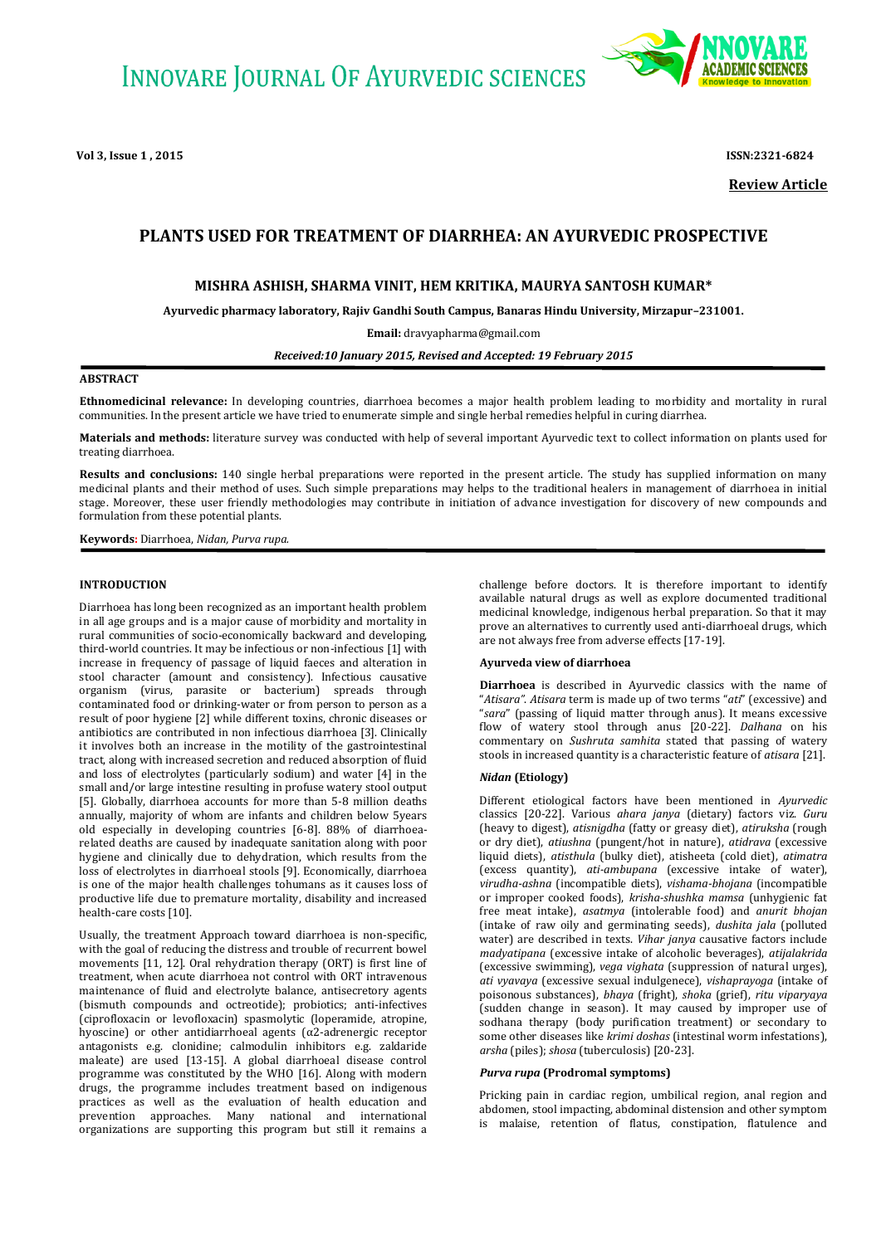**Vol 3, Issue 1 , 2015 ISSN:2321-6824**



**Review Article**

# **PLANTS USED FOR TREATMENT OF DIARRHEA: AN AYURVEDIC PROSPECTIVE**

# **MISHRA ASHISH, SHARMA VINIT, HEM KRITIKA, MAURYA SANTOSH KUMAR\***

**Ayurvedic pharmacy laboratory, Rajiv Gandhi South Campus, Banaras Hindu University, Mirzapur–231001.**

**Email:** [dravyapharma@gmail.com](mailto:Email�dravyapharma@gmail.com)

*Received:10 January 2015, Revised and Accepted: 19 February 2015*

### **ABSTRACT**

**Ethnomedicinal relevance:** In developing countries, diarrhoea becomes a major health problem leading to morbidity and mortality in rural communities. In the present article we have tried to enumerate simple and single herbal remedies helpful in curing diarrhea.

**Materials and methods:** literature survey was conducted with help of several important Ayurvedic text to collect information on plants used for treating diarrhoea.

**Results and conclusions:** 140 single herbal preparations were reported in the present article. The study has supplied information on many medicinal plants and their method of uses. Such simple preparations may helps to the traditional healers in management of diarrhoea in initial stage. Moreover, these user friendly methodologies may contribute in initiation of advance investigation for discovery of new compounds and formulation from these potential plants.

**Keywords:** Diarrhoea, *Nidan, Purva rupa.*

#### **INTRODUCTION**

Diarrhoea has long been recognized as an important health problem in all age groups and is a major cause of morbidity and mortality in rural communities of socio-economically backward and developing, third-world countries. It may be infectious or non-infectious [1] with increase in frequency of passage of liquid faeces and alteration in stool character (amount and consistency). Infectious causative organism (virus, parasite or bacterium) spreads through contaminated food or drinking-water or from person to person as a result of poor hygiene [2] while different toxins, chronic diseases or antibiotics are contributed in non infectious diarrhoea [3]. Clinically it involves both an increase in the motility of the gastrointestinal tract, along with increased secretion and reduced absorption of fluid and loss of electrolytes (particularly sodium) and water [4] in the small and/or large intestine resulting in profuse watery stool output [5]. Globally, diarrhoea accounts for more than 5-8 million deaths annually, majority of whom are infants and children below 5years old especially in developing countries [6-8]. 88% of diarrhoearelated deaths are caused by inadequate sanitation along with poor hygiene and clinically due to dehydration, which results from the loss of electrolytes in diarrhoeal stools [9]. Economically, diarrhoea is one of the major health challenges tohumans as it causes loss of productive life due to premature mortality, disability and increased health-care costs [10].

Usually, the treatment Approach toward diarrhoea is non-specific, with the goal of reducing the distress and trouble of recurrent bowel movements [11, 12]. Oral rehydration therapy (ORT) is first line of treatment, when acute diarrhoea not control with ORT intravenous maintenance of fluid and electrolyte balance, antisecretory agents (bismuth compounds and octreotide); probiotics; anti-infectives (ciprofloxacin or levofloxacin) spasmolytic (loperamide, atropine, hyoscine) or other antidiarrhoeal agents (α2-adrenergic receptor antagonists e.g. clonidine; calmodulin inhibitors e.g. zaldaride maleate) are used [13-15]. A global diarrhoeal disease control programme was constituted by the WHO [16]. Along with modern drugs, the programme includes treatment based on indigenous practices as well as the evaluation of health education and prevention approaches. Many national and international organizations are supporting this program but still it remains a

challenge before doctors. It is therefore important to identify available natural drugs as well as explore documented traditional medicinal knowledge, indigenous herbal preparation. So that it may prove an alternatives to currently used anti-diarrhoeal drugs, which are not always free from adverse effects [17-19].

#### **Ayurveda view of diarrhoea**

**Diarrhoea** is described in Ayurvedic classics with the name of "*Atisara"*. *Atisara* term is made up of two terms "*ati*" (excessive) and "*sara*" (passing of liquid matter through anus). It means excessive flow of watery stool through anus [20-22]. *Dalhana* on his commentary on *Sushruta samhita* stated that passing of watery stools in increased quantity is a characteristic feature of *atisara* [21].

#### *Nidan* **(Etiology)**

Different etiological factors have been mentioned in *Ayurvedic* classics [20-22]. Various *ahara janya* (dietary) factors viz. *Guru* (heavy to digest), *atisnigdha* (fatty or greasy diet), *atiruksha* (rough or dry diet), *atiushna* (pungent/hot in nature), *atidrava* (excessive liquid diets), *atisthula* (bulky diet), atisheeta (cold diet), *atimatra* (excess quantity), *ati-ambupana* (excessive intake of water), *virudha-ashna* (incompatible diets), *vishama-bhojana* (incompatible or improper cooked foods), *krisha-shushka mamsa* (unhygienic fat free meat intake), *asatmya* (intolerable food) and *anurit bhojan* (intake of raw oily and germinating seeds), *dushita jala* (polluted water) are described in texts. *Vihar janya* causative factors include *madyatipana* (excessive intake of alcoholic beverages), *atijalakrida* (excessive swimming), *vega vighata* (suppression of natural urges), *ati vyavaya* (excessive sexual indulgenece), *vishaprayoga* (intake of poisonous substances), *bhaya* (fright), *shoka* (grief), *ritu viparyaya* (sudden change in season). It may caused by improper use of sodhana therapy (body purification treatment) or secondary to some other diseases like *krimi doshas* (intestinal worm infestations), *arsha* (piles); *shosa* (tuberculosis) [20-23].

#### *Purva rupa* **(Prodromal symptoms)**

Pricking pain in cardiac region, umbilical region, anal region and abdomen, stool impacting, abdominal distension and other symptom is malaise, retention of flatus, constipation, flatulence and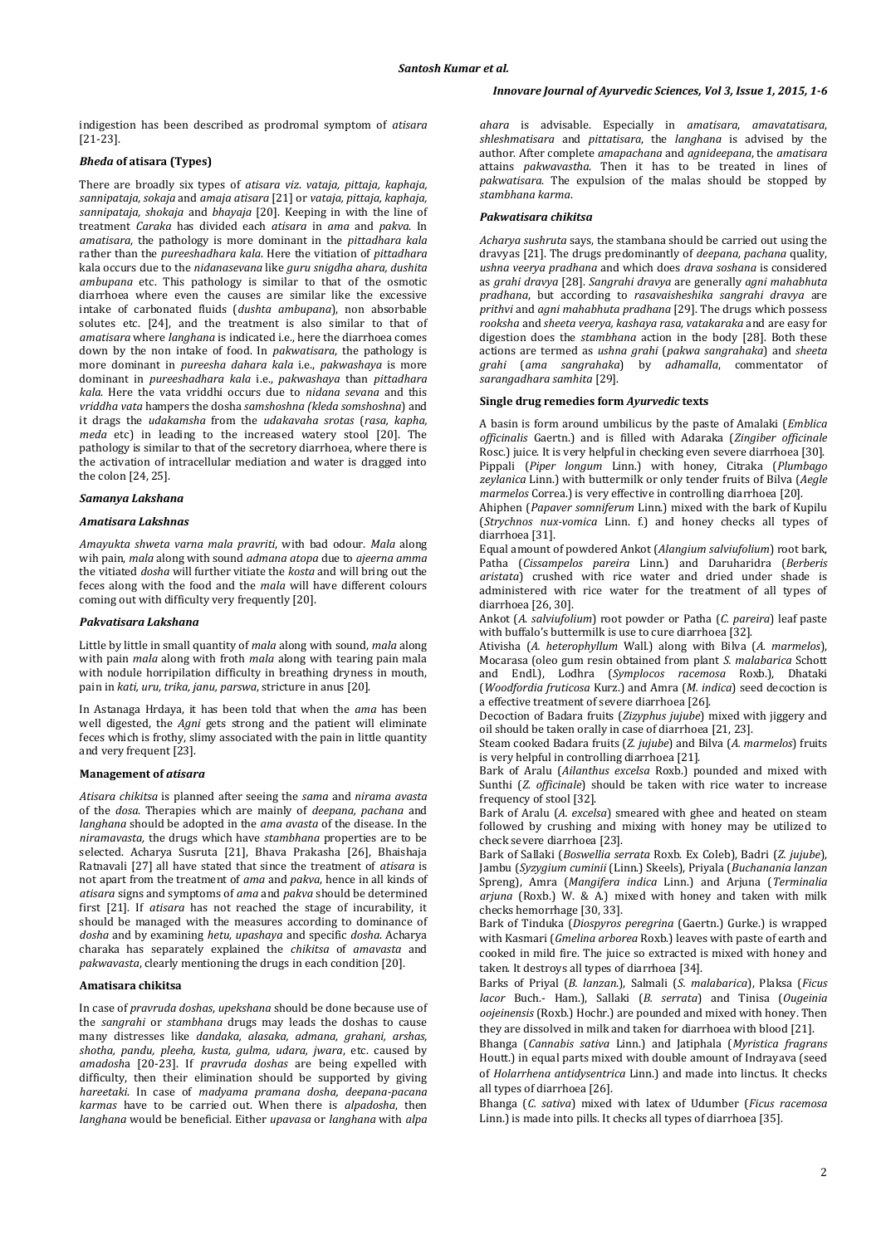indigestion has been described as prodromal symptom of *atisara* [21-23].

# *Bheda* **of atisara (Types)**

There are broadly six types of *atisara viz*. *vataja, pittaja, kaphaja, sannipataja, sokaja* and *amaja atisara* [21] or *vataja, pittaja, kaphaja, sannipataja, shokaja* and *bhayaja* [20]. Keeping in with the line of treatment *Caraka* has divided each *atisara* in *ama* and *pakva*. In *amatisara*, the pathology is more dominant in the *pittadhara kala* rather than the *pureeshadhara kala*. Here the vitiation of *pittadhara* kala occurs due to the *nidanasevana* like *guru snigdha ahara, dushita ambupana* etc. This pathology is similar to that of the osmotic diarrhoea where even the causes are similar like the excessive intake of carbonated fluids (*dushta ambupana*), non absorbable solutes etc. [24], and the treatment is also similar to that of *amatisara* where *langhana* is indicated i.e., here the diarrhoea comes down by the non intake of food. In *pakwatisara*, the pathology is more dominant in *pureesha dahara kala* i.e., *pakwashaya* is more dominant in *pureeshadhara kala* i.e., *pakwashaya* than *pittadhara kala*. Here the vata vriddhi occurs due to *nidana sevana* and this *vriddha vata* hampers the dosha *samshoshna (kleda somshoshna*) and it drags the *udakamsha* from the *udakavaha srotas* (*rasa, kapha, meda* etc) in leading to the increased watery stool [20]. The pathology is similar to that of the secretory diarrhoea, where there is the activation of intracellular mediation and water is dragged into the colon [24, 25].

#### *Samanya Lakshana*

#### *Amatisara Lakshnas*

*Amayukta shweta varna mala pravriti*, with bad odour. *Mala* along wih pain, *mala* along with sound *admana atopa* due to *ajeerna amma*  the vitiated *dosha* will further vitiate the *kosta* and will bring out the feces along with the food and the *mala* will have different colours coming out with difficulty very frequently [20].

# *Pakvatisara Lakshana*

Little by little in small quantity of *mala* along with sound, *mala* along with pain *mala* along with froth *mala* along with tearing pain mala with nodule horripilation difficulty in breathing dryness in mouth, pain in *kati, uru, trika, janu, parswa*, stricture in anus [20].

In Astanaga Hrdaya, it has been told that when the *ama* has been well digested, the *Agni* gets strong and the patient will eliminate feces which is frothy, slimy associated with the pain in little quantity and very frequent [23].

#### **Management of** *atisara*

*Atisara chikitsa* is planned after seeing the *sama* and *nirama avasta*  of the *dosa*. Therapies which are mainly of *deepana, pachana* and *langhana* should be adopted in the *ama avasta* of the disease. In the *niramavasta,* the drugs which have *stambhana* properties are to be selected. Acharya Susruta [21], Bhava Prakasha [26], Bhaishaja Ratnavali [27] all have stated that since the treatment of *atisara* is not apart from the treatment of *ama* and *pakva*, hence in all kinds of *atisara* signs and symptoms of *ama* and *pakva* should be determined first [21]. If *atisara* has not reached the stage of incurability, it should be managed with the measures according to dominance of *dosha* and by examining *hetu, upashaya* and specific *dosha*. Acharya charaka has separately explained the *chikitsa* of *amavasta* and *pakwavasta*, clearly mentioning the drugs in each condition [20].

#### **Amatisara chikitsa**

In case of *pravruda doshas*, *upekshana* should be done because use of the *sangrahi* or *stambhana* drugs may leads the doshas to cause many distresses like *dandaka, alasaka, admana, grahani, arshas, shotha, pandu, pleeha, kusta, gulma, udara, jwara*, etc. caused by *amadosh*a [20-23]. If *pravruda doshas* are being expelled with difficulty, then their elimination should be supported by giving *hareetaki*. In case of *madyama pramana dosha, deepana-pacana karmas* have to be carried out. When there is *alpadosha*, then *langhana* would be beneficial. Either *upavasa* or *langhana* with *alpa* 

*ahara* is advisable. Especially in *amatisara*, *amavatatisara*, *shleshmatisara* and *pittatisara*, the *langhana* is advised by the author. After complete *amapachana* and *agnideepana*, the *amatisara* attains *pakwavastha*. Then it has to be treated in lines of *pakwatisara*. The expulsion of the malas should be stopped by *stambhana karma*.

#### *Pakwatisara chikitsa*

*Acharya sushruta* says, the stambana should be carried out using the dravyas [21]. The drugs predominantly of *deepana, pachana* quality, *ushna veerya pradhana* and which does *drava soshana* is considered as *grahi dravya* [28]. *Sangrahi dravya* are generally *agni mahabhuta pradhana*, but according to *rasavaisheshika sangrahi dravya* are *prithvi* and *agni mahabhuta pradhana* [29]. The drugs which possess *rooksha* and *sheeta veerya, kashaya rasa, vatakaraka* and are easy for digestion does the *stambhana* action in the body [28]. Both these actions are termed as *ushna grahi* (*pakwa sangrahaka*) and *sheeta*  grahi (ama sangrahaka) by adhamalla, commentator *sarangadhara samhita* [29].

#### **Single drug remedies form** *Ayurvedic* **texts**

A basin is form around umbilicus by the paste of Amalaki (*Emblica officinalis* Gaertn.) and is filled with Adaraka (*Zingiber officinale*  Rosc.) juice. It is very helpful in checking even severe diarrhoea [30]. Pippali (*Piper longum* Linn.) with honey, Citraka (*Plumbago zeylanica* Linn.) with buttermilk or only tender fruits of Bilva (*Aegle marmelos* Correa.) is very effective in controlling diarrhoea [20].

Ahiphen (*Papaver somniferum* Linn.) mixed with the bark of Kupilu (*Strychnos nux-vomica* Linn. f.) and honey checks all types of diarrhoea [31].

Equal amount of powdered Ankot (*Alangium salviufolium*) root bark, Patha (*Cissampelos pareira* Linn.) and Daruharidra (*Berberis aristata*) crushed with rice water and dried under shade is administered with rice water for the treatment of all types of diarrhoea [26, 30].

Ankot (*A*. *salviufolium*) root powder or Patha (*C. pareira*) leaf paste with buffalo's buttermilk is use to cure diarrhoea [32].

Ativisha (*A. heterophyllum* Wall.) along with Bilva (*A. marmelos*), Mocarasa (oleo gum resin obtained from plant *S. malabarica* Schott and Endl.), Lodhra (*Symplocos racemosa* Roxb.), Dhataki (*Woodfordia fruticosa* Kurz.) and Amra (*M. indica*) seed decoction is a effective treatment of severe diarrhoea [26].

Decoction of Badara fruits (*Zizyphus jujube*) mixed with jiggery and oil should be taken orally in case of diarrhoea [21, 23].

Steam cooked Badara fruits (*Z. jujube*) and Bilva (*A. marmelos*) fruits is very helpful in controlling diarrhoea [21].

Bark of Aralu (*Ailanthus excelsa* Roxb.) pounded and mixed with Sunthi (*Z. officinale*) should be taken with rice water to increase frequency of stool [32].

Bark of Aralu (*A. excelsa*) smeared with ghee and heated on steam followed by crushing and mixing with honey may be utilized to check severe diarrhoea [23].

Bark of Sallaki (*Boswellia serrata* Roxb. Ex Coleb), Badri (*Z. jujube*), Jambu (*Syzygium cuminii* (Linn.) Skeels), Priyala (*Buchanania lanzan* Spreng), Amra (*Mangifera indica* Linn.) and Arjuna (*Terminalia arjuna* (Roxb.) W. & A.) mixed with honey and taken with milk checks hemorrhage [30, 33].

Bark of Tinduka (*Diospyros peregrina* (Gaertn.) Gurke.) is wrapped with Kasmari (*Gmelina arborea* Roxb.) leaves with paste of earth and cooked in mild fire. The juice so extracted is mixed with honey and taken. It destroys all types of diarrhoea [34].

Barks of Priyal (*B. lanzan*.), Salmali (*S. malabarica*), Plaksa (*Ficus lacor* Buch.- Ham.), Sallaki (*B. serrata*) and Tinisa (*Ougeinia oojeinensis* (Roxb.) Hochr.) are pounded and mixed with honey. Then they are dissolved in milk and taken for diarrhoea with blood [21].

Bhanga (*Cannabis sativa* Linn.) and Jatiphala (*Myristica fragrans* Houtt.) in equal parts mixed with double amount of Indrayava (seed of *Holarrhena antidysentrica* Linn.) and made into linctus. It checks all types of diarrhoea [26].

Bhanga (*C. sativa*) mixed with latex of Udumber (*Ficus racemosa* Linn.) is made into pills. It checks all types of diarrhoea [35].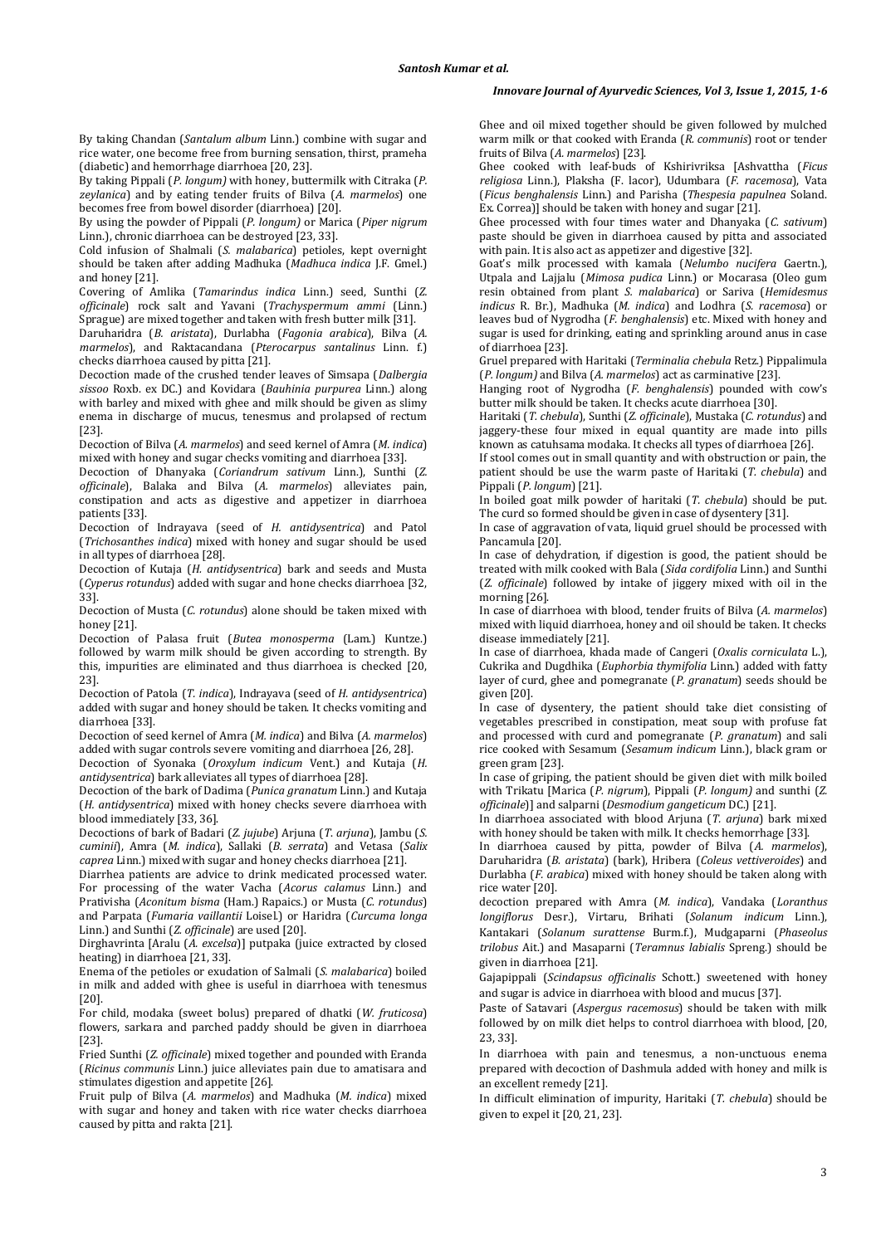By taking Chandan (*Santalum album* Linn.) combine with sugar and rice water, one become free from burning sensation, thirst, prameha (diabetic) and hemorrhage diarrhoea [20, 23].

By taking Pippali (*P. longum)* with honey, buttermilk with Citraka (*P. zeylanica*) and by eating tender fruits of Bilva (*A. marmelos*) one becomes free from bowel disorder (diarrhoea) [20].

By using the powder of Pippali (*P. longum)* or Marica (*Piper nigrum* Linn.), chronic diarrhoea can be destroyed [23, 33].

Cold infusion of Shalmali (*S. malabarica*) petioles, kept overnight should be taken after adding Madhuka (*Madhuca indica* J.F. Gmel.) and honey [21].

Covering of Amlika (*Tamarindus indica* Linn.) seed, Sunthi (*Z. officinale*) rock salt and Yavani (*Trachyspermum ammi* (Linn.) Sprague) are mixed together and taken with fresh butter milk [31].

Daruharidra (*B. aristata*), Durlabha (*Fagonia arabica*), Bilva (*A. marmelos*), and Raktacandana (*Pterocarpus santalinus* Linn. f.) checks diarrhoea caused by pitta [21].

Decoction made of the crushed tender leaves of Simsapa (*Dalbergia sissoo* Roxb. ex DC.) and Kovidara (*Bauhinia purpurea* Linn.) along with barley and mixed with ghee and milk should be given as slimy enema in discharge of mucus, tenesmus and prolapsed of rectum [23].

Decoction of Bilva (*A. marmelos*) and seed kernel of Amra (*M. indica*) mixed with honey and sugar checks vomiting and diarrhoea [33].

Decoction of Dhanyaka (*Coriandrum sativum* Linn.), Sunthi (*Z. officinale*), Balaka and Bilva (*A. marmelos*) alleviates pain, constipation and acts as digestive and appetizer in diarrhoea patients [33].

Decoction of Indrayava (seed of *H. antidysentrica*) and Patol (*Trichosanthes indica*) mixed with honey and sugar should be used in all types of diarrhoea [28].

Decoction of Kutaja (*H. antidysentrica*) bark and seeds and Musta (*Cyperus rotundus*) added with sugar and hone checks diarrhoea [32, 33].

Decoction of Musta (*C. rotundus*) alone should be taken mixed with honey [21].

Decoction of Palasa fruit (*Butea monosperma* (Lam.) Kuntze.) followed by warm milk should be given according to strength. By this, impurities are eliminated and thus diarrhoea is checked [20, 23].

Decoction of Patola (*T. indica*), Indrayava (seed of *H. antidysentrica*) added with sugar and honey should be taken. It checks vomiting and diarrhoea [33].

Decoction of seed kernel of Amra (*M. indica*) and Bilva (*A. marmelos*) added with sugar controls severe vomiting and diarrhoea [26, 28].

Decoction of Syonaka (*Oroxylum indicum* Vent.) and Kutaja (*H. antidysentrica*) bark alleviates all types of diarrhoea [28].

Decoction of the bark of Dadima (*Punica granatum* Linn.) and Kutaja (*H. antidysentrica*) mixed with honey checks severe diarrhoea with blood immediately [33, 36].

Decoctions of bark of Badari (*Z. jujube*) Arjuna (*T*. *arjuna*), Jambu (*S. cuminii*), Amra (*M. indica*), Sallaki (*B. serrata*) and Vetasa (*Salix caprea* Linn.) mixed with sugar and honey checks diarrhoea [21].

Diarrhea patients are advice to drink medicated processed water. For processing of the water Vacha (*Acorus calamus* Linn.) and Prativisha (*Aconitum bisma* (Ham.) Rapaics.) or Musta (*C. rotundus*) and Parpata (*Fumaria vaillantii* Loisel.) or Haridra (*Curcuma longa* Linn.) and Sunthi (*Z. officinale*) are used [20].

Dirghavrinta [Aralu (*A. excelsa*)] putpaka (juice extracted by closed heating) in diarrhoea [21, 33].

Enema of the petioles or exudation of Salmali (*S. malabarica*) boiled in milk and added with ghee is useful in diarrhoea with tenesmus [20].

For child, modaka (sweet bolus) prepared of dhatki (*W. fruticosa*) flowers, sarkara and parched paddy should be given in diarrhoea [23].

Fried Sunthi (*Z. officinale*) mixed together and pounded with Eranda (*Ricinus communis* Linn.) juice alleviates pain due to amatisara and stimulates digestion and appetite [26].

Fruit pulp of Bilva (*A. marmelos*) and Madhuka (*M. indica*) mixed with sugar and honey and taken with rice water checks diarrhoea caused by pitta and rakta [21].

Ghee and oil mixed together should be given followed by mulched warm milk or that cooked with Eranda (*R. communis*) root or tender fruits of Bilva (*A. marmelos*) [23].

Ghee cooked with leaf-buds of Kshirivriksa [Ashvattha (*Ficus religiosa* Linn.), Plaksha (F. lacor), Udumbara (*F. racemosa*), Vata (*Ficus benghalensis* Linn.) and Parisha (*Thespesia papulnea* Soland. Ex. Correa)] should be taken with honey and sugar [21].

Ghee processed with four times water and Dhanyaka (*C. sativum*) paste should be given in diarrhoea caused by pitta and associated with pain. It is also act as appetizer and digestive [32].

Goat's milk processed with kamala (*Nelumbo nucifera* Gaertn.), Utpala and Lajjalu (*Mimosa pudica* Linn.) or Mocarasa (Oleo gum resin obtained from plant *S. malabarica*) or Sariva (*Hemidesmus indicus* R. Br.), Madhuka (*M. indica*) and Lodhra (*S. racemosa*) or leaves bud of Nygrodha (*F. benghalensis*) etc. Mixed with honey and sugar is used for drinking, eating and sprinkling around anus in case of diarrhoea [23].

Gruel prepared with Haritaki (*Terminalia chebula* Retz.) Pippalimula (*P. longum)* and Bilva (*A. marmelos*) act as carminative [23].

Hanging root of Nygrodha (*F. benghalensis*) pounded with cow's butter milk should be taken. It checks acute diarrhoea [30].

Haritaki (*T. chebula*), Sunthi (*Z. officinale*), Mustaka (*C. rotundus*) and jaggery-these four mixed in equal quantity are made into pills known as catuhsama modaka. It checks all types of diarrhoea [26].

If stool comes out in small quantity and with obstruction or pain, the patient should be use the warm paste of Haritaki (*T. chebula*) and Pippali (*P. longum*) [21].

In boiled goat milk powder of haritaki (*T. chebula*) should be put. The curd so formed should be given in case of dysentery [31].

In case of aggravation of vata, liquid gruel should be processed with Pancamula [20].

In case of dehydration, if digestion is good, the patient should be treated with milk cooked with Bala (*Sida cordifolia* Linn.) and Sunthi (*Z. officinale*) followed by intake of jiggery mixed with oil in the morning [26].

In case of diarrhoea with blood, tender fruits of Bilva (*A. marmelos*) mixed with liquid diarrhoea, honey and oil should be taken. It checks disease immediately [21].

In case of diarrhoea, khada made of Cangeri (*Oxalis corniculata* L.), Cukrika and Dugdhika (*Euphorbia thymifolia* Linn.) added with fatty layer of curd, ghee and pomegranate (*P. granatum*) seeds should be given [20].

In case of dysentery, the patient should take diet consisting of vegetables prescribed in constipation, meat soup with profuse fat and processed with curd and pomegranate (*P. granatum*) and sali rice cooked with Sesamum (*Sesamum indicum* Linn.), black gram or green gram [23].

In case of griping, the patient should be given diet with milk boiled with Trikatu [Marica (*P. nigrum*), Pippali (*P. longum)* and sunthi (*Z. officinale*)] and salparni (*Desmodium gangeticum* DC.) [21].

In diarrhoea associated with blood Arjuna (*T. arjuna*) bark mixed with honey should be taken with milk. It checks hemorrhage [33].

In diarrhoea caused by pitta, powder of Bilva (*A. marmelos*), Daruharidra (*B. aristata*) (bark), Hribera (*Coleus vettiveroides*) and Durlabha (*F. arabica*) mixed with honey should be taken along with rice water [20].

decoction prepared with Amra (*M. indica*), Vandaka (*Loranthus longiflorus* Desr.), Virtaru, Brihati (*Solanum indicum* Linn.), Kantakari (*Solanum surattense* Burm.f.), Mudgaparni (*Phaseolus trilobus* Ait.) and Masaparni (*Teramnus labialis* Spreng.) should be given in diarrhoea [21].

Gajapippali (*Scindapsus officinalis* Schott.) sweetened with honey and sugar is advice in diarrhoea with blood and mucus [37].

Paste of Satavari (*Aspergus racemosus*) should be taken with milk followed by on milk diet helps to control diarrhoea with blood, [20, 23, 33].

In diarrhoea with pain and tenesmus, a non-unctuous enema prepared with decoction of Dashmula added with honey and milk is an excellent remedy [21].

In difficult elimination of impurity, Haritaki (*T. chebula*) should be given to expel it [20, 21, 23].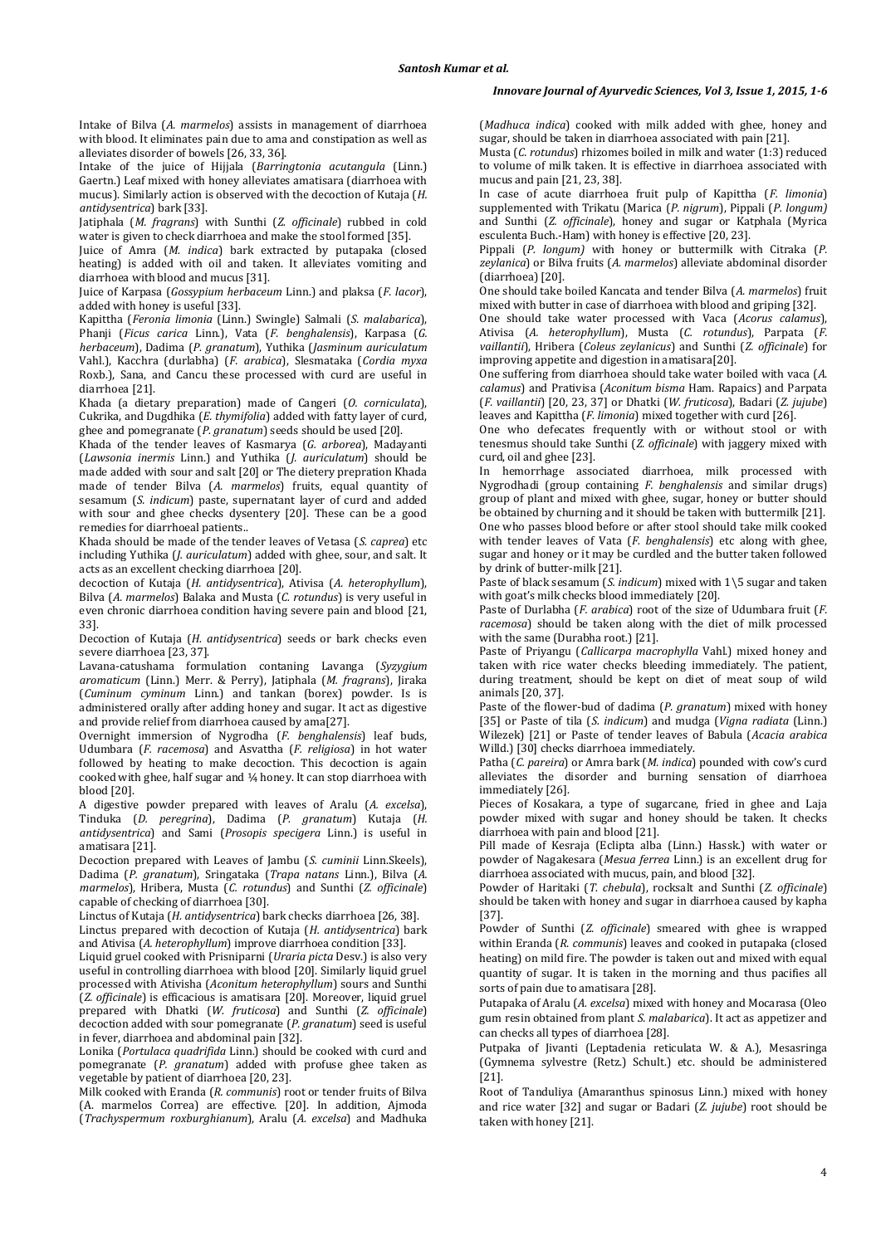Intake of Bilva (*A. marmelos*) assists in management of diarrhoea with blood. It eliminates pain due to ama and constipation as well as alleviates disorder of bowels [26, 33, 36].

Intake of the juice of Hijjala (*Barringtonia acutangula* (Linn.) Gaertn.) Leaf mixed with honey alleviates amatisara (diarrhoea with mucus). Similarly action is observed with the decoction of Kutaja (*H. antidysentrica*) bark [33].

Jatiphala (*M. fragrans*) with Sunthi (*Z. officinale*) rubbed in cold water is given to check diarrhoea and make the stool formed [35].

Juice of Amra (*M. indica*) bark extracted by putapaka (closed heating) is added with oil and taken. It alleviates vomiting and diarrhoea with blood and mucus [31].

Juice of Karpasa (*Gossypium herbaceum* Linn.) and plaksa (*F. lacor*), added with honey is useful [33].

Kapittha (*Feronia limonia* (Linn.) Swingle) Salmali (*S. malabarica*), Phanji (*Ficus carica* Linn.), Vata (*F. benghalensis*), Karpasa (*G. herbaceum*), Dadima (*P. granatum*), Yuthika (*Jasminum auriculatum* Vahl.), Kacchra (durlabha) (*F. arabica*), Slesmataka (*Cordia myxa*  Roxb.), Sana, and Cancu these processed with curd are useful in diarrhoea [21].

Khada (a dietary preparation) made of Cangeri (*O. corniculata*), Cukrika, and Dugdhika (*E. thymifolia*) added with fatty layer of curd, ghee and pomegranate (*P. granatum*) seeds should be used [20].

Khada of the tender leaves of Kasmarya (*G. arborea*), Madayanti (*Lawsonia inermis* Linn.) and Yuthika (*J. auriculatum*) should be made added with sour and salt [20] or The dietery prepration Khada made of tender Bilva (*A. marmelos*) fruits, equal quantity of sesamum (*S. indicum*) paste, supernatant layer of curd and added with sour and ghee checks dysentery [20]. These can be a good remedies for diarrhoeal patients..

Khada should be made of the tender leaves of Vetasa (*S. caprea*) etc including Yuthika (*J. auriculatum*) added with ghee, sour, and salt. It acts as an excellent checking diarrhoea [20].

decoction of Kutaja (*H. antidysentrica*), Ativisa (*A. heterophyllum*), Bilva (*A. marmelos*) Balaka and Musta (*C. rotundus*) is very useful in even chronic diarrhoea condition having severe pain and blood [21, 33].

Decoction of Kutaja (*H. antidysentrica*) seeds or bark checks even severe diarrhoea [23, 37].

Lavana-catushama formulation contaning Lavanga (*Syzygium aromaticum* (Linn.) Merr. & Perry), Jatiphala (*M. fragrans*), Jiraka (*Cuminum cyminum* Linn.) and tankan (borex) powder. Is is administered orally after adding honey and sugar. It act as digestive and provide relief from diarrhoea caused by ama[27].

Overnight immersion of Nygrodha (*F. benghalensis*) leaf buds, Udumbara (*F. racemosa*) and Asvattha (*F. religiosa*) in hot water followed by heating to make decoction. This decoction is again cooked with ghee, half sugar and ¼ honey. It can stop diarrhoea with blood [20].

A digestive powder prepared with leaves of Aralu (*A. excelsa*), Tinduka (*D. peregrina*), Dadima (*P. granatum*) Kutaja (*H. antidysentrica*) and Sami (*Prosopis specigera* Linn.) is useful in amatisara [21].

Decoction prepared with Leaves of Jambu (*S. cuminii* Linn.Skeels), Dadima (*P. granatum*), Sringataka (*Trapa natans* Linn.), Bilva (*A. marmelos*), Hribera, Musta (*C. rotundus*) and Sunthi (*Z. officinale*) capable of checking of diarrhoea [30].

Linctus of Kutaja (*H. antidysentrica*) bark checks diarrhoea [26, 38]. Linctus prepared with decoction of Kutaja (*H. antidysentrica*) bark

and Ativisa (*A. heterophyllum*) improve diarrhoea condition [33].

Liquid gruel cooked with Prisniparni (*Uraria picta* Desv.) is also very useful in controlling diarrhoea with blood [20]. Similarly liquid gruel processed with Ativisha (*Aconitum heterophyllum*) sours and Sunthi (*Z. officinale*) is efficacious is amatisara [20]. Moreover, liquid gruel prepared with Dhatki (*W. fruticosa*) and Sunthi (*Z. officinale*) decoction added with sour pomegranate (*P. granatum*) seed is useful in fever, diarrhoea and abdominal pain [32].

Lonika (*Portulaca quadrifida* Linn.) should be cooked with curd and pomegranate (*P. granatum*) added with profuse ghee taken as vegetable by patient of diarrhoea [20, 23].

Milk cooked with Eranda (*R. communis*) root or tender fruits of Bilva (A. marmelos Correa) are effective. [20]. In addition, Ajmoda (*Trachyspermum roxburghianum*), Aralu (*A. excelsa*) and Madhuka

(*Madhuca indica*) cooked with milk added with ghee, honey and sugar, should be taken in diarrhoea associated with pain  $[21]$ .

Musta (*C. rotundus*) rhizomes boiled in milk and water (1:3) reduced to volume of milk taken. It is effective in diarrhoea associated with mucus and pain [21, 23, 38].

In case of acute diarrhoea fruit pulp of Kapittha (*F. limonia*) supplemented with Trikatu (Marica (*P. nigrum*), Pippali (*P. longum)* and Sunthi (*Z. officinale*), honey and sugar or Katphala (Myrica esculenta Buch.-Ham) with honey is effective [20, 23].

Pippali (*P. longum)* with honey or buttermilk with Citraka (*P. zeylanica*) or Bilva fruits (*A. marmelos*) alleviate abdominal disorder (diarrhoea) [20].

One should take boiled Kancata and tender Bilva (*A. marmelos*) fruit mixed with butter in case of diarrhoea with blood and griping [32].

One should take water processed with Vaca (*Acorus calamus*), Ativisa (*A. heterophyllum*), Musta (*C. rotundus*), Parpata (*F. vaillantii*), Hribera (*Coleus zeylanicus*) and Sunthi (*Z. officinale*) for improving appetite and digestion in amatisara[20].

One suffering from diarrhoea should take water boiled with vaca (*A*. *calamus*) and Prativisa (*Aconitum bisma* Ham. Rapaics) and Parpata (*F. vaillantii*) [20, 23, 37] or Dhatki (*W. fruticosa*), Badari (*Z. jujube*) leaves and Kapittha (*F. limonia*) mixed together with curd [26].

One who defecates frequently with or without stool or with tenesmus should take Sunthi (*Z. officinale*) with jaggery mixed with curd, oil and ghee [23].

In hemorrhage associated diarrhoea, milk processed with Nygrodhadi (group containing *F. benghalensis* and similar drugs) group of plant and mixed with ghee, sugar, honey or butter should be obtained by churning and it should be taken with buttermilk [21]. One who passes blood before or after stool should take milk cooked with tender leaves of Vata (*F. benghalensis*) etc along with ghee, sugar and honey or it may be curdled and the butter taken followed by drink of butter-milk [21].

Paste of black sesamum (*S. indicum*) mixed with 1\5 sugar and taken with goat's milk checks blood immediately [20].

Paste of Durlabha (*F. arabica*) root of the size of Udumbara fruit (*F. racemosa*) should be taken along with the diet of milk processed with the same (Durabha root.) [21].

Paste of Priyangu (*Callicarpa macrophylla* Vahl.) mixed honey and taken with rice water checks bleeding immediately. The patient, during treatment, should be kept on diet of meat soup of wild animals [20, 37].

Paste of the flower-bud of dadima (*P. granatum*) mixed with honey [35] or Paste of tila (*S. indicum*) and mudga (*Vigna radiata* (Linn.) Wilezek) [21] or Paste of tender leaves of Babula (*Acacia arabica* Willd.) [30] checks diarrhoea immediately.

Patha (*C. pareira*) or Amra bark (*M. indica*) pounded with cow's curd alleviates the disorder and burning sensation of diarrhoea immediately [26].

Pieces of Kosakara, a type of sugarcane, fried in ghee and Laja powder mixed with sugar and honey should be taken. It checks diarrhoea with pain and blood [21].

Pill made of Kesraja (Eclipta alba (Linn.) Hassk.) with water or powder of Nagakesara (*Mesua ferrea* Linn.) is an excellent drug for diarrhoea associated with mucus, pain, and blood [32].

Powder of Haritaki (*T. chebula*), rocksalt and Sunthi (*Z. officinale*) should be taken with honey and sugar in diarrhoea caused by kapha [37].

Powder of Sunthi (*Z. officinale*) smeared with ghee is wrapped within Eranda (*R. communis*) leaves and cooked in putapaka (closed heating) on mild fire. The powder is taken out and mixed with equal quantity of sugar. It is taken in the morning and thus pacifies all sorts of pain due to amatisara [28].

Putapaka of Aralu (*A. excelsa*) mixed with honey and Mocarasa (Oleo gum resin obtained from plant *S. malabarica*). It act as appetizer and can checks all types of diarrhoea [28].

Putpaka of Jivanti (Leptadenia reticulata W. & A.), Mesasringa (Gymnema sylvestre (Retz.) Schult.) etc. should be administered [21].

Root of Tanduliya (Amaranthus spinosus Linn.) mixed with honey and rice water [32] and sugar or Badari (*Z. jujube*) root should be taken with honey [21].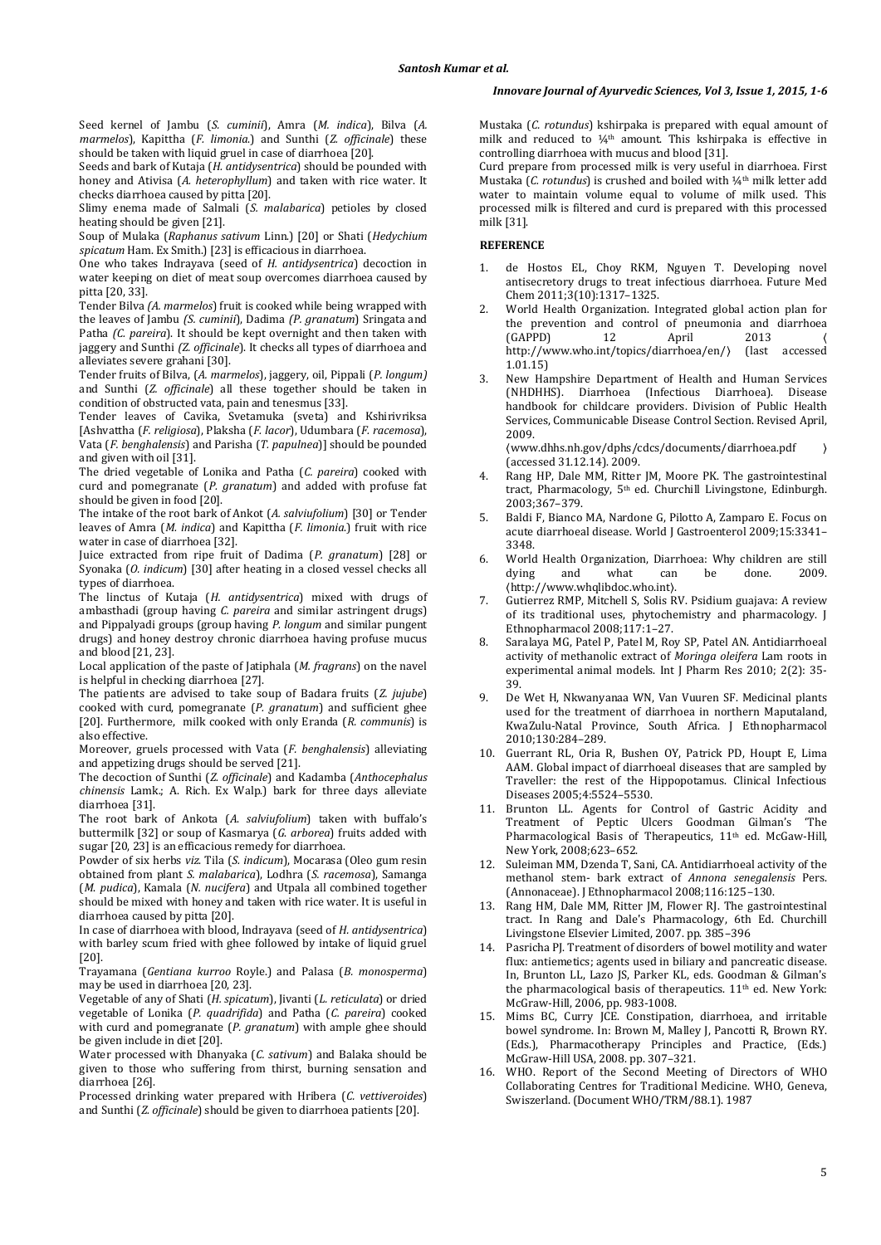# *Innovare Journal of Ayurvedic Sciences, Vol 3, Issue 1, 2015, 1-6*

Seed kernel of Jambu (*S. cuminii*), Amra (*M. indica*), Bilva (*A. marmelos*), Kapittha (*F. limonia*.) and Sunthi (*Z. officinale*) these should be taken with liquid gruel in case of diarrhoea [20].

Seeds and bark of Kutaja (*H. antidysentrica*) should be pounded with honey and Ativisa (*A. heterophyllum*) and taken with rice water. It checks diarrhoea caused by pitta [20].

Slimy enema made of Salmali (*S. malabarica*) petioles by closed heating should be given [21].

Soup of Mulaka (*Raphanus sativum* Linn.) [20] or Shati (*Hedychium spicatum* Ham. Ex Smith.) [23] is efficacious in diarrhoea.

One who takes Indrayava (seed of *H. antidysentrica*) decoction in water keeping on diet of meat soup overcomes diarrhoea caused by pitta [20, 33].

Tender Bilva *(A. marmelos*) fruit is cooked while being wrapped with the leaves of Jambu *(S. cuminii*), Dadima *(P. granatum*) Sringata and Patha *(C. pareira*). It should be kept overnight and then taken with jaggery and Sunthi *(Z. officinale*). It checks all types of diarrhoea and alleviates severe grahani [30].

Tender fruits of Bilva, (*A. marmelos*), jaggery, oil, Pippali (*P. longum)* and Sunthi (*Z. officinale*) all these together should be taken in condition of obstructed vata, pain and tenesmus [33].

Tender leaves of Cavika, Svetamuka (sveta) and Kshirivriksa [Ashvattha (*F. religiosa*), Plaksha (*F. lacor*), Udumbara (*F. racemosa*), Vata (*F. benghalensis*) and Parisha (*T. papulnea*)] should be pounded and given with oil [31].

The dried vegetable of Lonika and Patha (*C. pareira*) cooked with curd and pomegranate (*P. granatum*) and added with profuse fat should be given in food [20].

The intake of the root bark of Ankot (*A. salviufolium*) [30] or Tender leaves of Amra (*M. indica*) and Kapittha (*F. limonia*.) fruit with rice water in case of diarrhoea [32].

Juice extracted from ripe fruit of Dadima (*P. granatum*) [28] or Syonaka (*O. indicum*) [30] after heating in a closed vessel checks all types of diarrhoea.

The linctus of Kutaja (*H. antidysentrica*) mixed with drugs of ambasthadi (group having *C. pareira* and similar astringent drugs) and Pippalyadi groups (group having *P. longum* and similar pungent drugs) and honey destroy chronic diarrhoea having profuse mucus and blood [21, 23].

Local application of the paste of Jatiphala (*M. fragrans*) on the navel is helpful in checking diarrhoea [27].

The patients are advised to take soup of Badara fruits (*Z. jujube*) cooked with curd, pomegranate (*P. granatum*) and sufficient ghee [20]. Furthermore, milk cooked with only Eranda (*R. communis*) is also effective.

Moreover, gruels processed with Vata (*F. benghalensis*) alleviating and appetizing drugs should be served [21].

The decoction of Sunthi (*Z. officinale*) and Kadamba (*Anthocephalus chinensis* Lamk.; A. Rich. Ex Walp.) bark for three days alleviate diarrhoea [31].

The root bark of Ankota (*A*. *salviufolium*) taken with buffalo's buttermilk [32] or soup of Kasmarya (*G*. *arborea*) fruits added with sugar [20, 23] is an efficacious remedy for diarrhoea.

Powder of six herbs *viz*. Tila (*S. indicum*), Mocarasa (Oleo gum resin obtained from plant *S. malabarica*), Lodhra (*S. racemosa*), Samanga (*M*. *pudica*), Kamala (*N. nucifera*) and Utpala all combined together should be mixed with honey and taken with rice water. It is useful in diarrhoea caused by pitta [20].

In case of diarrhoea with blood, Indrayava (seed of *H. antidysentrica*) with barley scum fried with ghee followed by intake of liquid gruel [20].

Trayamana (*Gentiana kurroo* Royle.) and Palasa (*B. monosperma*) may be used in diarrhoea [20, 23].

Vegetable of any of Shati (*H. spicatum*), Jivanti (*L. reticulata*) or dried vegetable of Lonika (*P. quadrifida*) and Patha (*C. pareira*) cooked with curd and pomegranate (*P. granatum*) with ample ghee should be given include in diet [20].

Water processed with Dhanyaka (*C. sativum*) and Balaka should be given to those who suffering from thirst, burning sensation and diarrhoea [26].

Processed drinking water prepared with Hribera (*C. vettiveroides*) and Sunthi (*Z. officinale*) should be given to diarrhoea patients [20].

Mustaka (*C. rotundus*) kshirpaka is prepared with equal amount of milk and reduced to  $\frac{1}{4}$ <sup>th</sup> amount. This kshirpaka is effective in controlling diarrhoea with mucus and blood [31].

Curd prepare from processed milk is very useful in diarrhoea. First Mustaka (*C. rotundus*) is crushed and boiled with 1/4<sup>th</sup> milk letter add water to maintain volume equal to volume of milk used. This processed milk is filtered and curd is prepared with this processed milk [31].

# **REFERENCE**

- 1. de Hostos EL, Choy RKM, Nguyen T. Developing novel antisecretory drugs to treat infectious diarrhoea. Future Med Chem 2011;3(10):1317–1325.
- 2. World Health Organization. Integrated global action plan for the prevention and control of pneumonia and diarrhoea<br>
(GAPPD) 12 April 2013  $(GAPPD)$  12 April 2013 http://www.who.int/topics/diarrhoea/en/〉 (last accessed 1.01.15)
- 3. New Hampshire Department of Health and Human Services (NHDHHS). Diarrhoea (Infectious Diarrhoea). Disease handbook for childcare providers. Division of Public Health Services, Communicable Disease Control Section. Revised April, 2009.

〈www.dhhs.nh.gov/dphs/cdcs/documents/diarrhoea.pdf 〉 (accessed 31.12.14). 2009.

- Rang HP, Dale MM, Ritter JM, Moore PK. The gastrointestinal tract, Pharmacology, 5<sup>th</sup> ed. Churchill Livingstone, Edinburgh. 2003;367–379.
- 5. Baldi F, Bianco MA, Nardone G, Pilotto A, Zamparo E. Focus on acute diarrhoeal disease. World J Gastroenterol 2009;15:3341– 3348.
- 6. World Health Organization, Diarrhoea: Why children are still dying and what can be done. 2009. 〈http://www.whqlibdoc.who.int〉.
- 7. Gutierrez RMP, Mitchell S, Solis RV. Psidium guajava: A review of its traditional uses, phytochemistry and pharmacology. J Ethnopharmacol 2008;117:1–27.
- 8. Saralaya MG, Patel P, Patel M, Roy SP, Patel AN. Antidiarrhoeal activity of methanolic extract of *Moringa oleifera* Lam roots in experimental animal models. Int J Pharm Res 2010; 2(2): 35- 39.
- 9. De Wet H, Nkwanyanaa WN, Van Vuuren SF. Medicinal plants used for the treatment of diarrhoea in northern Maputaland, KwaZulu-Natal Province, South Africa. J Ethnopharmacol 2010;130:284–289.
- 10. Guerrant RL, Oria R, Bushen OY, Patrick PD, Houpt E, Lima AAM. Global impact of diarrhoeal diseases that are sampled by Traveller: the rest of the Hippopotamus. Clinical Infectious Diseases 2005;4:5524–5530.
- 11. Brunton LL. Agents for Control of Gastric Acidity and Treatment of Peptic Ulcers Goodman Gilman's 'The Pharmacological Basis of Therapeutics, 11<sup>th</sup> ed. McGaw-Hill, New York, 2008;623–652.
- 12. Suleiman MM, Dzenda T, Sani, CA. Antidiarrhoeal activity of the methanol stem- bark extract of *Annona senegalensis* Pers. (Annonaceae). J Ethnopharmacol 2008;116:125–130.
- 13. Rang HM, Dale MM, Ritter JM, Flower RJ. The gastrointestinal tract. In Rang and Dale's Pharmacology, 6th Ed. Churchill Livingstone Elsevier Limited, 2007. pp. 385–396
- 14. Pasricha PJ. Treatment of disorders of bowel motility and water flux: antiemetics; agents used in biliary and pancreatic disease. In, Brunton LL, Lazo JS, Parker KL, eds. Goodman & Gilman's the pharmacological basis of therapeutics. 11<sup>th</sup> ed. New York: McGraw-Hill, 2006, pp. 983-1008.
- 15. Mims BC, Curry JCE. Constipation, diarrhoea, and irritable bowel syndrome. In: Brown M, Malley J, Pancotti R, Brown RY. (Eds.), Pharmacotherapy Principles and Practice, (Eds.) McGraw-Hill USA, 2008. pp. 307–321.
- 16. WHO. Report of the Second Meeting of Directors of WHO Collaborating Centres for Traditional Medicine. WHO, Geneva, Swiszerland. (Document WHO/TRM/88.1). 1987